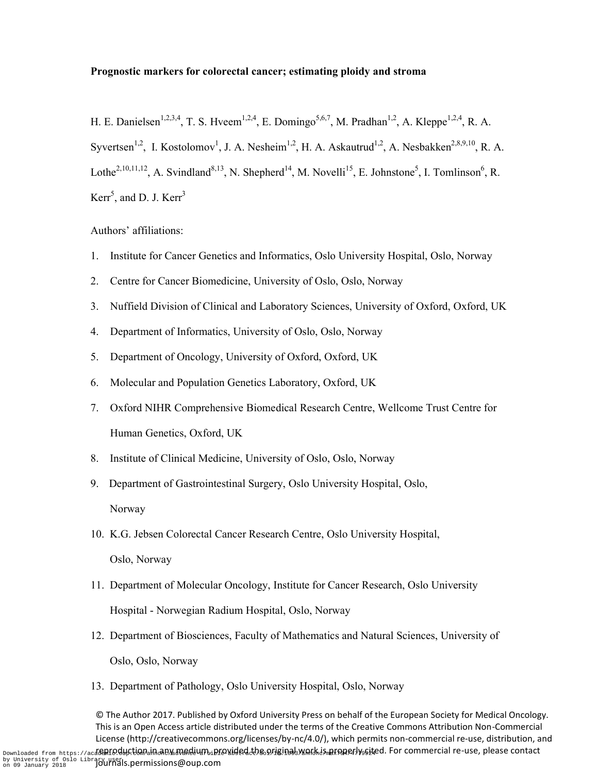## **Prognostic markers for colorectal cancer; estimating ploidy and stroma**

H. E. Danielsen<sup>1,2,3,4</sup>, T. S. Hveem<sup>1,2,4</sup>, E. Domingo<sup>5,6,7</sup>, M. Pradhan<sup>1,2</sup>, A. Kleppe<sup>1,2,4</sup>, R. A. Syvertsen<sup>1,2</sup>, I. Kostolomov<sup>1</sup>, J. A. Nesheim<sup>1,2</sup>, H. A. Askautrud<sup>1,2</sup>, A. Nesbakken<sup>2,8,9,10</sup>, R. A. Lothe<sup>2,10,11,12</sup>, A. Svindland<sup>8,13</sup>, N. Shepherd<sup>14</sup>, M. Novelli<sup>15</sup>, E. Johnstone<sup>5</sup>, I. Tomlinson<sup>6</sup>, R. Kerr<sup>5</sup>, and D. J. Kerr<sup>3</sup>

Authors' affiliations:

- 1. Institute for Cancer Genetics and Informatics, Oslo University Hospital, Oslo, Norway
- 2. Centre for Cancer Biomedicine, University of Oslo, Oslo, Norway
- 3. Nuffield Division of Clinical and Laboratory Sciences, University of Oxford, Oxford, UK
- 4. Department of Informatics, University of Oslo, Oslo, Norway
- 5. Department of Oncology, University of Oxford, Oxford, UK
- 6. Molecular and Population Genetics Laboratory, Oxford, UK
- 7. Oxford NIHR Comprehensive Biomedical Research Centre, Wellcome Trust Centre for Human Genetics, Oxford, UK
- 8. Institute of Clinical Medicine, University of Oslo, Oslo, Norway
- 9. Department of Gastrointestinal Surgery, Oslo University Hospital, Oslo, Norway
- 10. K.G. Jebsen Colorectal Cancer Research Centre, Oslo University Hospital, Oslo, Norway
- 11. Department of Molecular Oncology, Institute for Cancer Research, Oslo University Hospital - Norwegian Radium Hospital, Oslo, Norway
- 12. Department of Biosciences, Faculty of Mathematics and Natural Sciences, University of Oslo, Oslo, Norway
- 13. Department of Pathology, Oslo University Hospital, Oslo, Norway

© The Author 2017. Published by Oxford University Press on behalf of the European Society for Medical Oncology. This is an Open Access article distributed under the terms of the Creative Commons Attribution Non-Commercial License (http://creativecommons.org/licenses/by-nc/4.0/), which permits non-commercial re-use, distribution, and Downloaded from https://ac<mark>ademro.duction.in.aby.medium.iprovided.the.originalsyvork.is.properlyssit</mark>ed. For commercial re-use, please contact by University of Oslo Library United S.permissions@oup.com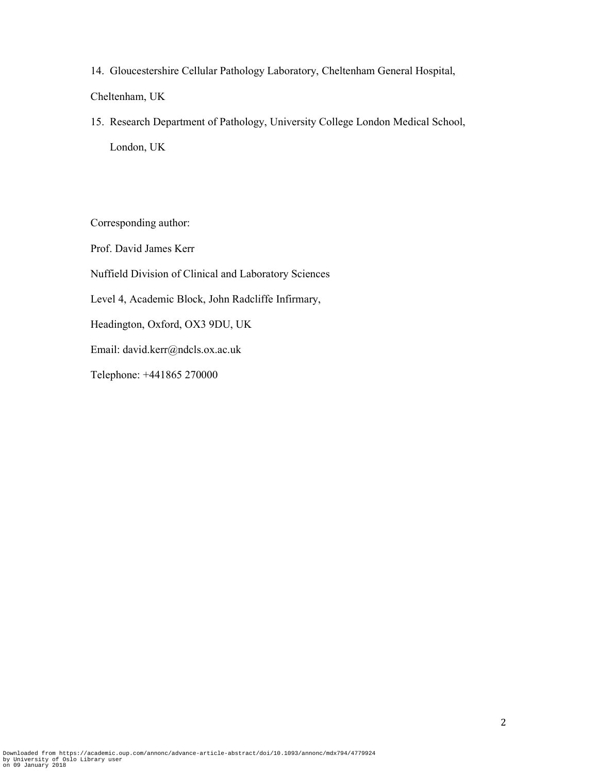14. Gloucestershire Cellular Pathology Laboratory, Cheltenham General Hospital,

Cheltenham, UK

15. Research Department of Pathology, University College London Medical School, London, UK

Corresponding author:

Prof. David James Kerr

Nuffield Division of Clinical and Laboratory Sciences

Level 4, Academic Block, John Radcliffe Infirmary,

Headington, Oxford, OX3 9DU, UK

Email: david.kerr@ndcls.ox.ac.uk

Telephone: +441865 270000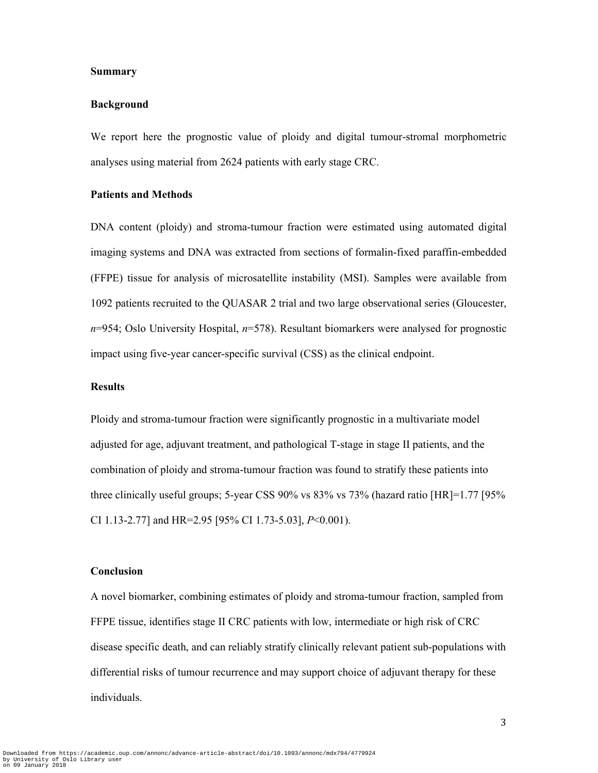#### **Summary**

#### **Background**

We report here the prognostic value of ploidy and digital tumour-stromal morphometric analyses using material from 2624 patients with early stage CRC.

## **Patients and Methods**

DNA content (ploidy) and stroma-tumour fraction were estimated using automated digital imaging systems and DNA was extracted from sections of formalin-fixed paraffin-embedded (FFPE) tissue for analysis of microsatellite instability (MSI). Samples were available from 1092 patients recruited to the QUASAR 2 trial and two large observational series (Gloucester, *n*=954; Oslo University Hospital, *n*=578). Resultant biomarkers were analysed for prognostic impact using five-year cancer-specific survival (CSS) as the clinical endpoint.

# **Results**

Ploidy and stroma-tumour fraction were significantly prognostic in a multivariate model adjusted for age, adjuvant treatment, and pathological T-stage in stage II patients, and the combination of ploidy and stroma-tumour fraction was found to stratify these patients into three clinically useful groups; 5-year CSS 90% vs 83% vs 73% (hazard ratio [HR]=1.77 [95% CI 1.13-2.77] and HR=2.95 [95% CI 1.73-5.03], *P*<0.001).

## **Conclusion**

A novel biomarker, combining estimates of ploidy and stroma-tumour fraction, sampled from FFPE tissue, identifies stage II CRC patients with low, intermediate or high risk of CRC disease specific death, and can reliably stratify clinically relevant patient sub-populations with differential risks of tumour recurrence and may support choice of adjuvant therapy for these individuals.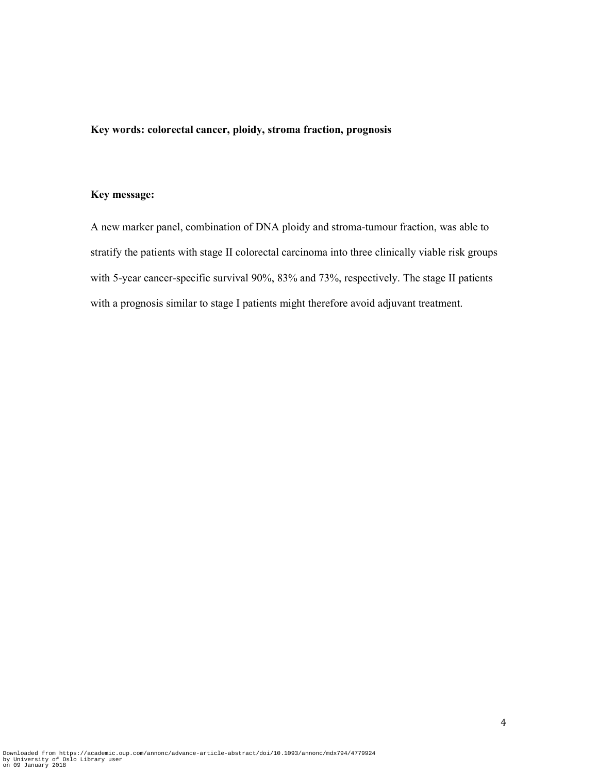# **Key words: colorectal cancer, ploidy, stroma fraction, prognosis**

## **Key message:**

A new marker panel, combination of DNA ploidy and stroma-tumour fraction, was able to stratify the patients with stage II colorectal carcinoma into three clinically viable risk groups with 5-year cancer-specific survival 90%, 83% and 73%, respectively. The stage II patients with a prognosis similar to stage I patients might therefore avoid adjuvant treatment.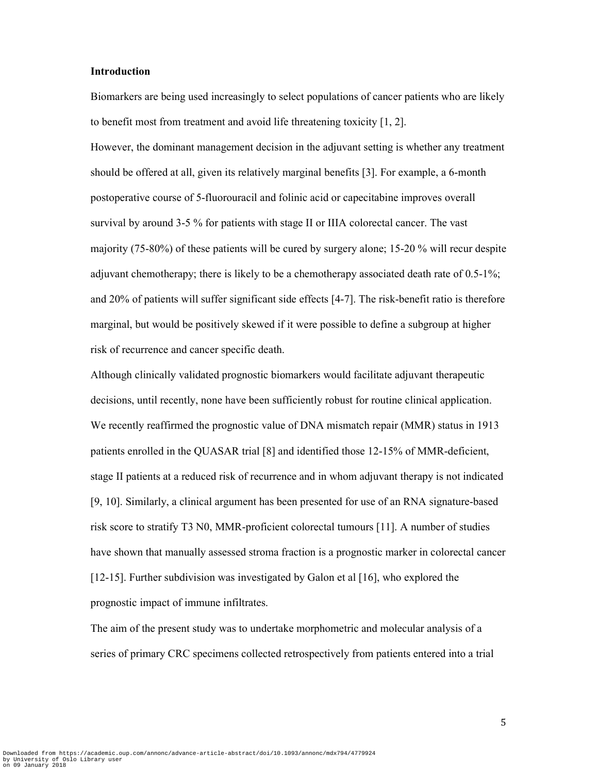## **Introduction**

Biomarkers are being used increasingly to select populations of cancer patients who are likely to benefit most from treatment and avoid life threatening toxicity [1, 2].

However, the dominant management decision in the adjuvant setting is whether any treatment should be offered at all, given its relatively marginal benefits [3]. For example, a 6-month postoperative course of 5-fluorouracil and folinic acid or capecitabine improves overall survival by around 3-5 % for patients with stage II or IIIA colorectal cancer. The vast majority (75-80%) of these patients will be cured by surgery alone; 15-20 % will recur despite adjuvant chemotherapy; there is likely to be a chemotherapy associated death rate of 0.5-1%; and 20% of patients will suffer significant side effects [4-7]. The risk-benefit ratio is therefore marginal, but would be positively skewed if it were possible to define a subgroup at higher risk of recurrence and cancer specific death.

Although clinically validated prognostic biomarkers would facilitate adjuvant therapeutic decisions, until recently, none have been sufficiently robust for routine clinical application. We recently reaffirmed the prognostic value of DNA mismatch repair (MMR) status in 1913 patients enrolled in the QUASAR trial [8] and identified those 12-15% of MMR-deficient, stage II patients at a reduced risk of recurrence and in whom adjuvant therapy is not indicated [9, 10]. Similarly, a clinical argument has been presented for use of an RNA signature-based risk score to stratify T3 N0, MMR-proficient colorectal tumours [11]. A number of studies have shown that manually assessed stroma fraction is a prognostic marker in colorectal cancer [12-15]. Further subdivision was investigated by Galon et al [16], who explored the prognostic impact of immune infiltrates.

The aim of the present study was to undertake morphometric and molecular analysis of a series of primary CRC specimens collected retrospectively from patients entered into a trial

5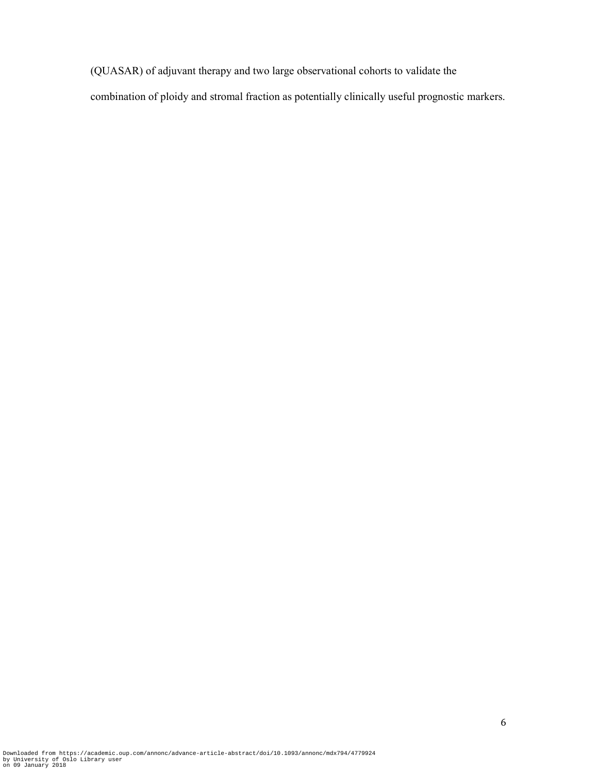(QUASAR) of adjuvant therapy and two large observational cohorts to validate the

combination of ploidy and stromal fraction as potentially clinically useful prognostic markers.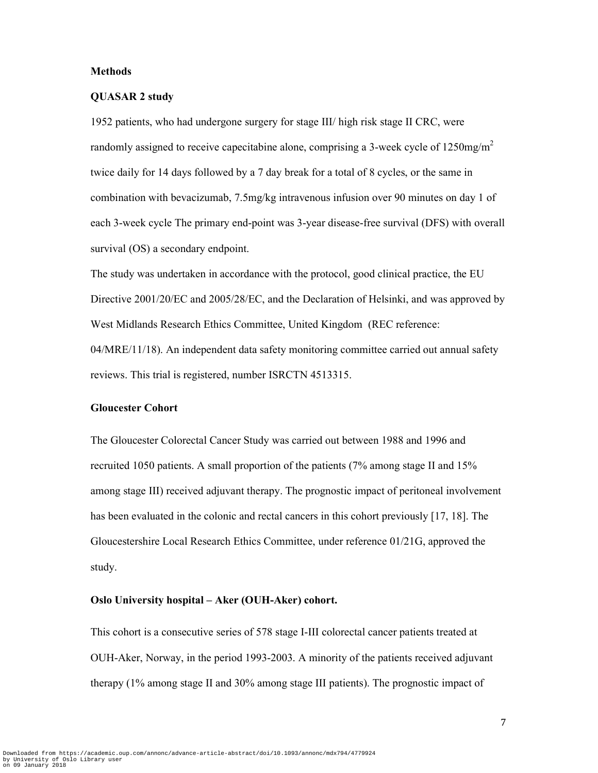## **Methods**

#### **QUASAR 2 study**

1952 patients, who had undergone surgery for stage III/ high risk stage II CRC, were randomly assigned to receive capecitabine alone, comprising a 3-week cycle of  $1250mg/m<sup>2</sup>$ twice daily for 14 days followed by a 7 day break for a total of 8 cycles, or the same in combination with bevacizumab, 7.5mg/kg intravenous infusion over 90 minutes on day 1 of each 3-week cycle The primary end-point was 3-year disease-free survival (DFS) with overall survival (OS) a secondary endpoint.

The study was undertaken in accordance with the protocol, good clinical practice, the EU Directive 2001/20/EC and 2005/28/EC, and the Declaration of Helsinki, and was approved by West Midlands Research Ethics Committee, United Kingdom (REC reference: 04/MRE/11/18). An independent data safety monitoring committee carried out annual safety reviews. This trial is registered, number ISRCTN 4513315.

## **Gloucester Cohort**

The Gloucester Colorectal Cancer Study was carried out between 1988 and 1996 and recruited 1050 patients. A small proportion of the patients (7% among stage II and 15% among stage III) received adjuvant therapy. The prognostic impact of peritoneal involvement has been evaluated in the colonic and rectal cancers in this cohort previously [17, 18]. The Gloucestershire Local Research Ethics Committee, under reference 01/21G, approved the study.

#### **Oslo University hospital – Aker (OUH-Aker) cohort.**

This cohort is a consecutive series of 578 stage I-III colorectal cancer patients treated at OUH-Aker, Norway, in the period 1993-2003. A minority of the patients received adjuvant therapy (1% among stage II and 30% among stage III patients). The prognostic impact of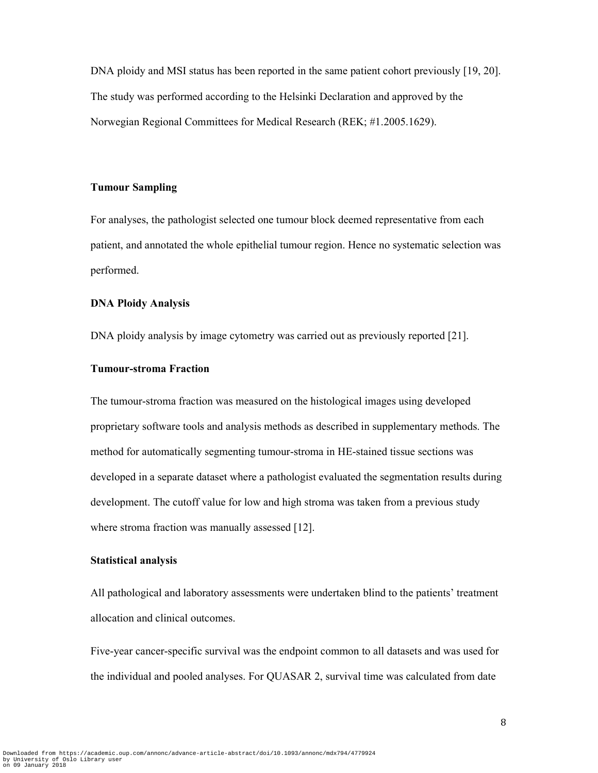DNA ploidy and MSI status has been reported in the same patient cohort previously [19, 20]. The study was performed according to the Helsinki Declaration and approved by the Norwegian Regional Committees for Medical Research (REK; #1.2005.1629).

### **Tumour Sampling**

For analyses, the pathologist selected one tumour block deemed representative from each patient, and annotated the whole epithelial tumour region. Hence no systematic selection was performed.

#### **DNA Ploidy Analysis**

DNA ploidy analysis by image cytometry was carried out as previously reported [21].

#### **Tumour-stroma Fraction**

The tumour-stroma fraction was measured on the histological images using developed proprietary software tools and analysis methods as described in supplementary methods. The method for automatically segmenting tumour-stroma in HE-stained tissue sections was developed in a separate dataset where a pathologist evaluated the segmentation results during development. The cutoff value for low and high stroma was taken from a previous study where stroma fraction was manually assessed [12].

## **Statistical analysis**

All pathological and laboratory assessments were undertaken blind to the patients' treatment allocation and clinical outcomes.

Five-year cancer-specific survival was the endpoint common to all datasets and was used for the individual and pooled analyses. For QUASAR 2, survival time was calculated from date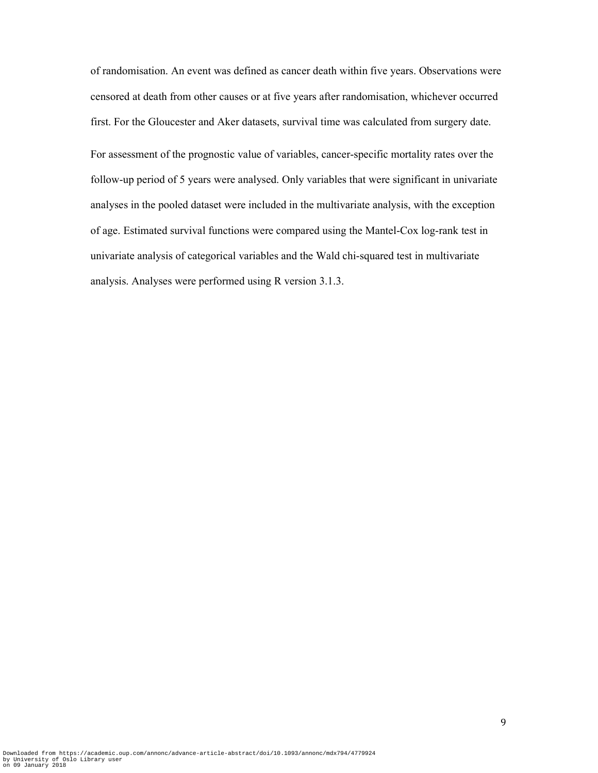of randomisation. An event was defined as cancer death within five years. Observations were censored at death from other causes or at five years after randomisation, whichever occurred first. For the Gloucester and Aker datasets, survival time was calculated from surgery date.

For assessment of the prognostic value of variables, cancer-specific mortality rates over the follow-up period of 5 years were analysed. Only variables that were significant in univariate analyses in the pooled dataset were included in the multivariate analysis, with the exception of age. Estimated survival functions were compared using the Mantel-Cox log-rank test in univariate analysis of categorical variables and the Wald chi-squared test in multivariate analysis. Analyses were performed using R version 3.1.3.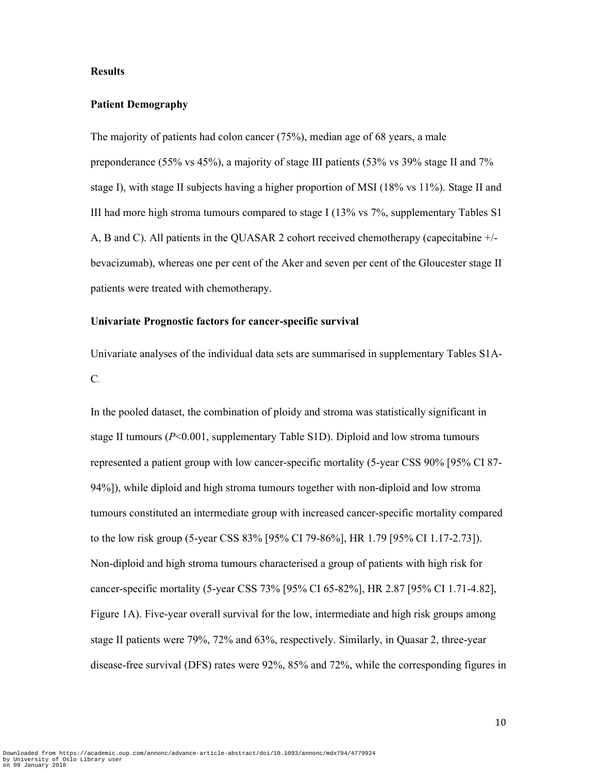#### **Results**

#### **Patient Demography**

The majority of patients had colon cancer (75%), median age of 68 years, a male preponderance (55% vs 45%), a majority of stage III patients (53% vs 39% stage II and 7% stage I), with stage II subjects having a higher proportion of MSI (18% vs 11%). Stage II and III had more high stroma tumours compared to stage I (13% vs 7%, supplementary Tables S1 A, B and C). All patients in the QUASAR 2 cohort received chemotherapy (capecitabine +/ bevacizumab), whereas one per cent of the Aker and seven per cent of the Gloucester stage II patients were treated with chemotherapy.

## **Univariate Prognostic factors for cancer-specific survival**

Univariate analyses of the individual data sets are summarised in supplementary Tables S1A-C.

In the pooled dataset, the combination of ploidy and stroma was statistically significant in stage II tumours (*P*<0.001, supplementary Table S1D). Diploid and low stroma tumours represented a patient group with low cancer-specific mortality (5-year CSS 90% [95% CI 87- 94%]), while diploid and high stroma tumours together with non-diploid and low stroma tumours constituted an intermediate group with increased cancer-specific mortality compared to the low risk group (5-year CSS 83% [95% CI 79-86%], HR 1.79 [95% CI 1.17-2.73]). Non-diploid and high stroma tumours characterised a group of patients with high risk for cancer-specific mortality (5-year CSS 73% [95% CI 65-82%], HR 2.87 [95% CI 1.71-4.82], Figure 1A). Five-year overall survival for the low, intermediate and high risk groups among stage II patients were 79%, 72% and 63%, respectively. Similarly, in Quasar 2, three-year disease-free survival (DFS) rates were 92%, 85% and 72%, while the corresponding figures in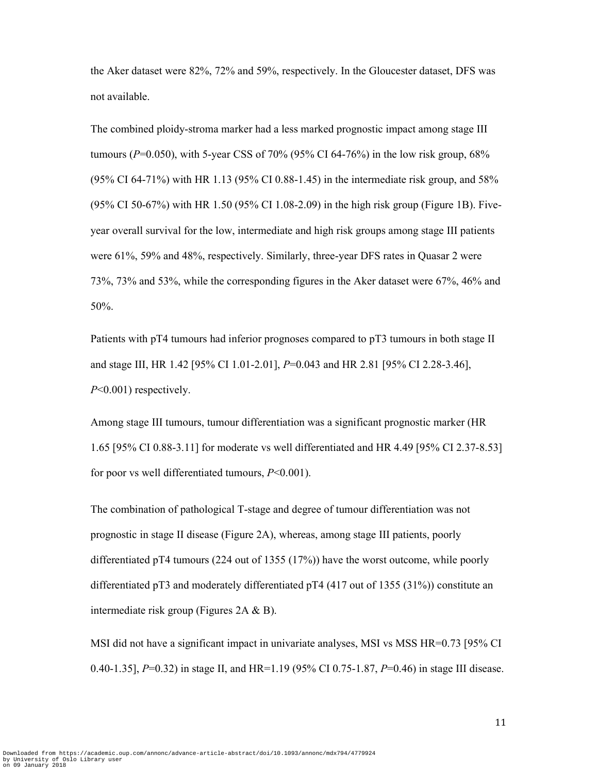the Aker dataset were 82%, 72% and 59%, respectively. In the Gloucester dataset, DFS was not available.

The combined ploidy-stroma marker had a less marked prognostic impact among stage III tumours (*P*=0.050), with 5-year CSS of 70% (95% CI 64-76%) in the low risk group, 68% (95% CI 64-71%) with HR 1.13 (95% CI 0.88-1.45) in the intermediate risk group, and 58% (95% CI 50-67%) with HR 1.50 (95% CI 1.08-2.09) in the high risk group (Figure 1B). Fiveyear overall survival for the low, intermediate and high risk groups among stage III patients were 61%, 59% and 48%, respectively. Similarly, three-year DFS rates in Quasar 2 were 73%, 73% and 53%, while the corresponding figures in the Aker dataset were 67%, 46% and 50%.

Patients with pT4 tumours had inferior prognoses compared to pT3 tumours in both stage II and stage III, HR 1.42 [95% CI 1.01-2.01], *P*=0.043 and HR 2.81 [95% CI 2.28-3.46], *P*<0.001) respectively.

Among stage III tumours, tumour differentiation was a significant prognostic marker (HR 1.65 [95% CI 0.88-3.11] for moderate vs well differentiated and HR 4.49 [95% CI 2.37-8.53] for poor vs well differentiated tumours, *P*<0.001).

The combination of pathological T-stage and degree of tumour differentiation was not prognostic in stage II disease (Figure 2A), whereas, among stage III patients, poorly differentiated pT4 tumours (224 out of 1355 (17%)) have the worst outcome, while poorly differentiated pT3 and moderately differentiated pT4 (417 out of 1355 (31%)) constitute an intermediate risk group (Figures 2A & B).

MSI did not have a significant impact in univariate analyses, MSI vs MSS HR=0.73 [95% CI 0.40-1.35], *P*=0.32) in stage II, and HR=1.19 (95% CI 0.75-1.87, *P*=0.46) in stage III disease.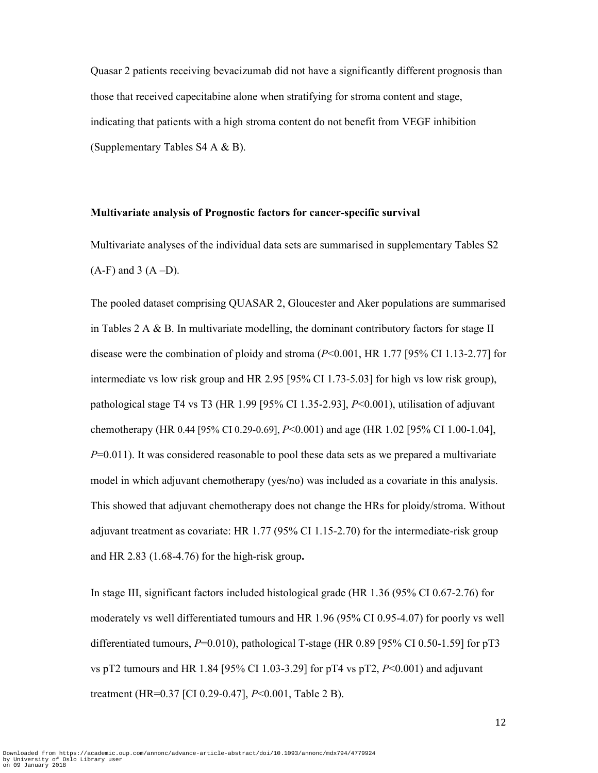Quasar 2 patients receiving bevacizumab did not have a significantly different prognosis than those that received capecitabine alone when stratifying for stroma content and stage, indicating that patients with a high stroma content do not benefit from VEGF inhibition (Supplementary Tables S4 A & B).

#### **Multivariate analysis of Prognostic factors for cancer-specific survival**

Multivariate analyses of the individual data sets are summarised in supplementary Tables S2  $(A-F)$  and 3  $(A-D)$ .

The pooled dataset comprising QUASAR 2, Gloucester and Aker populations are summarised in Tables  $2 \text{ A} \& \text{ B}$ . In multivariate modelling, the dominant contributory factors for stage II disease were the combination of ploidy and stroma (*P*<0.001, HR 1.77 [95% CI 1.13-2.77] for intermediate vs low risk group and HR 2.95 [95% CI 1.73-5.03] for high vs low risk group), pathological stage T4 vs T3 (HR 1.99 [95% CI 1.35-2.93], *P*<0.001), utilisation of adjuvant chemotherapy (HR 0.44 [95% CI 0.29-0.69], *P*<0.001) and age (HR 1.02 [95% CI 1.00-1.04], *P*=0.011). It was considered reasonable to pool these data sets as we prepared a multivariate model in which adjuvant chemotherapy (yes/no) was included as a covariate in this analysis. This showed that adjuvant chemotherapy does not change the HRs for ploidy/stroma. Without adjuvant treatment as covariate: HR 1.77 (95% CI 1.15-2.70) for the intermediate-risk group and HR 2.83 (1.68-4.76) for the high-risk group**.** 

In stage III, significant factors included histological grade (HR 1.36 (95% CI 0.67-2.76) for moderately vs well differentiated tumours and HR 1.96 (95% CI 0.95-4.07) for poorly vs well differentiated tumours,  $P=0.010$ ), pathological T-stage (HR 0.89 [95% CI 0.50-1.59] for pT3 vs pT2 tumours and HR 1.84 [95% CI 1.03-3.29] for pT4 vs pT2, *P*<0.001) and adjuvant treatment (HR=0.37 [CI 0.29-0.47], *P*<0.001, Table 2 B).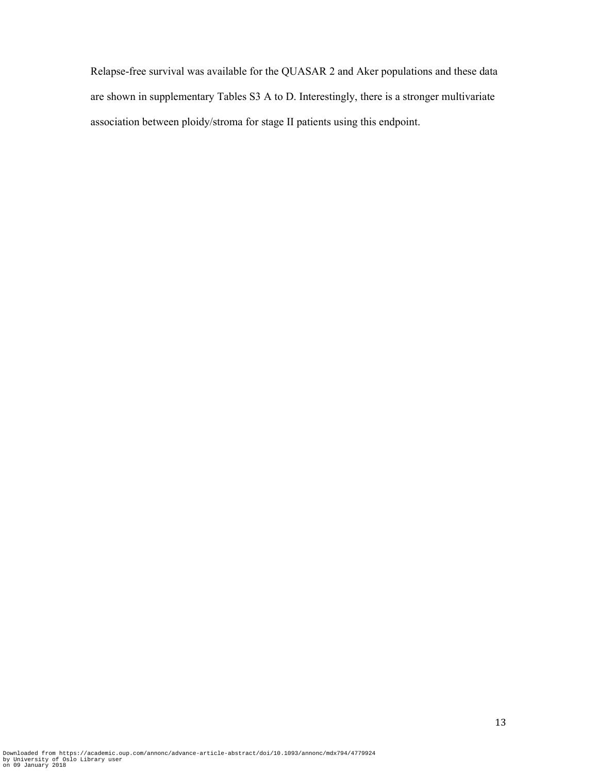Relapse-free survival was available for the QUASAR 2 and Aker populations and these data are shown in supplementary Tables S3 A to D. Interestingly, there is a stronger multivariate association between ploidy/stroma for stage II patients using this endpoint.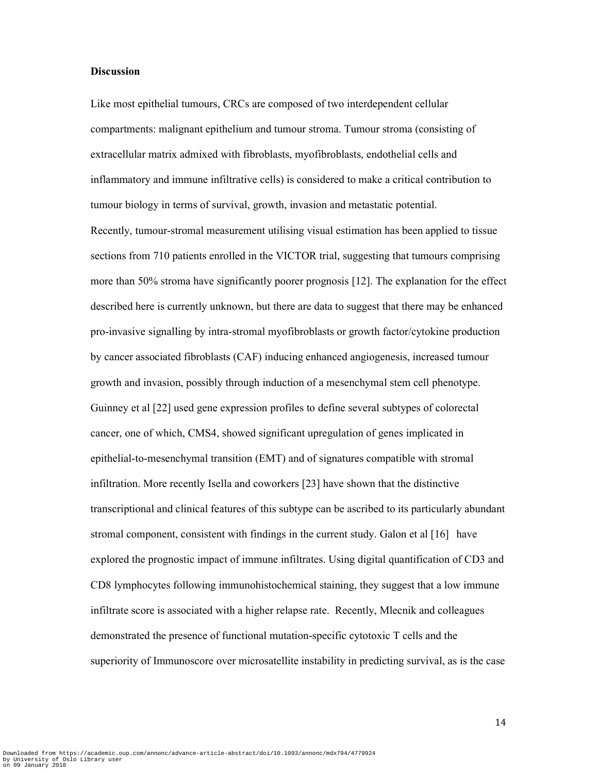## **Discussion**

Like most epithelial tumours, CRCs are composed of two interdependent cellular compartments: malignant epithelium and tumour stroma. Tumour stroma (consisting of extracellular matrix admixed with fibroblasts, myofibroblasts, endothelial cells and inflammatory and immune infiltrative cells) is considered to make a critical contribution to tumour biology in terms of survival, growth, invasion and metastatic potential.

Recently, tumour-stromal measurement utilising visual estimation has been applied to tissue sections from 710 patients enrolled in the VICTOR trial, suggesting that tumours comprising more than 50% stroma have significantly poorer prognosis [12]. The explanation for the effect described here is currently unknown, but there are data to suggest that there may be enhanced pro-invasive signalling by intra-stromal myofibroblasts or growth factor/cytokine production by cancer associated fibroblasts (CAF) inducing enhanced angiogenesis, increased tumour growth and invasion, possibly through induction of a mesenchymal stem cell phenotype. Guinney et al [22] used gene expression profiles to define several subtypes of colorectal cancer, one of which, CMS4, showed significant upregulation of genes implicated in epithelial-to-mesenchymal transition (EMT) and of signatures compatible with stromal infiltration. More recently Isella and coworkers [23] have shown that the distinctive transcriptional and clinical features of this subtype can be ascribed to its particularly abundant stromal component, consistent with findings in the current study. Galon et al [16] have explored the prognostic impact of immune infiltrates. Using digital quantification of CD3 and CD8 lymphocytes following immunohistochemical staining, they suggest that a low immune infiltrate score is associated with a higher relapse rate. Recently, Mlecnik and colleagues demonstrated the presence of functional mutation-specific cytotoxic T cells and the superiority of Immunoscore over microsatellite instability in predicting survival, as is the case

14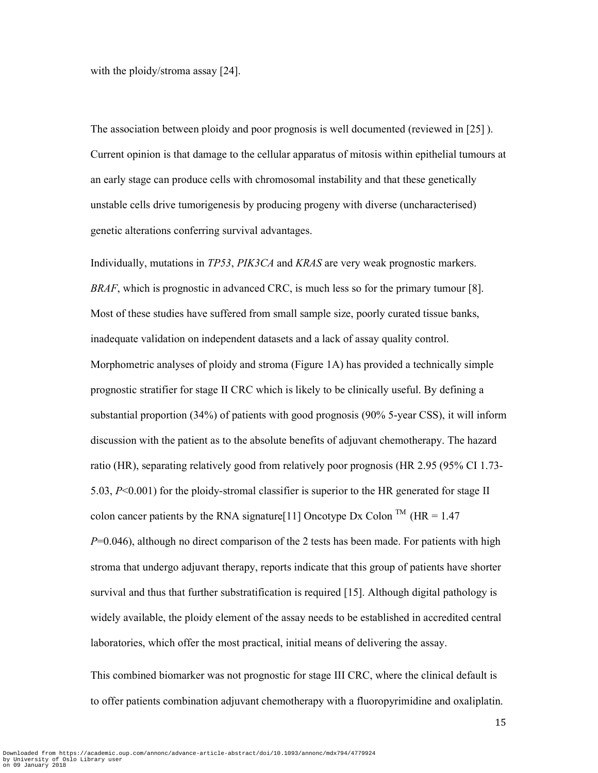with the ploidy/stroma assay [24].

The association between ploidy and poor prognosis is well documented (reviewed in [25] ). Current opinion is that damage to the cellular apparatus of mitosis within epithelial tumours at an early stage can produce cells with chromosomal instability and that these genetically unstable cells drive tumorigenesis by producing progeny with diverse (uncharacterised) genetic alterations conferring survival advantages.

Individually, mutations in *TP53*, *PIK3CA* and *KRAS* are very weak prognostic markers. *BRAF*, which is prognostic in advanced CRC, is much less so for the primary tumour [8]. Most of these studies have suffered from small sample size, poorly curated tissue banks, inadequate validation on independent datasets and a lack of assay quality control. Morphometric analyses of ploidy and stroma (Figure 1A) has provided a technically simple prognostic stratifier for stage II CRC which is likely to be clinically useful. By defining a substantial proportion (34%) of patients with good prognosis (90% 5-year CSS), it will inform discussion with the patient as to the absolute benefits of adjuvant chemotherapy. The hazard ratio (HR), separating relatively good from relatively poor prognosis (HR 2.95 (95% CI 1.73- 5.03, *P*<0.001) for the ploidy-stromal classifier is superior to the HR generated for stage II colon cancer patients by the RNA signature<sup>[11]</sup> Oncotype Dx Colon<sup>TM</sup> ( $HR = 1.47$ ) *P*=0.046), although no direct comparison of the 2 tests has been made. For patients with high stroma that undergo adjuvant therapy, reports indicate that this group of patients have shorter survival and thus that further substratification is required [15]. Although digital pathology is widely available, the ploidy element of the assay needs to be established in accredited central laboratories, which offer the most practical, initial means of delivering the assay.

This combined biomarker was not prognostic for stage III CRC, where the clinical default is to offer patients combination adjuvant chemotherapy with a fluoropyrimidine and oxaliplatin.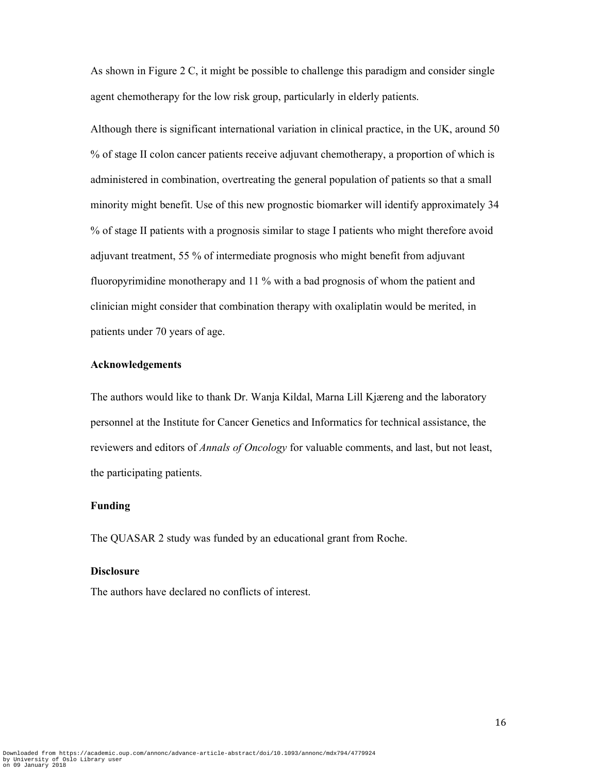As shown in Figure 2 C, it might be possible to challenge this paradigm and consider single agent chemotherapy for the low risk group, particularly in elderly patients.

Although there is significant international variation in clinical practice, in the UK, around 50 % of stage II colon cancer patients receive adjuvant chemotherapy, a proportion of which is administered in combination, overtreating the general population of patients so that a small minority might benefit. Use of this new prognostic biomarker will identify approximately 34 % of stage II patients with a prognosis similar to stage I patients who might therefore avoid adjuvant treatment, 55 % of intermediate prognosis who might benefit from adjuvant fluoropyrimidine monotherapy and 11 % with a bad prognosis of whom the patient and clinician might consider that combination therapy with oxaliplatin would be merited, in patients under 70 years of age.

# **Acknowledgements**

The authors would like to thank Dr. Wanja Kildal, Marna Lill Kjæreng and the laboratory personnel at the Institute for Cancer Genetics and Informatics for technical assistance, the reviewers and editors of *Annals of Oncology* for valuable comments, and last, but not least, the participating patients.

## **Funding**

The QUASAR 2 study was funded by an educational grant from Roche.

#### **Disclosure**

The authors have declared no conflicts of interest.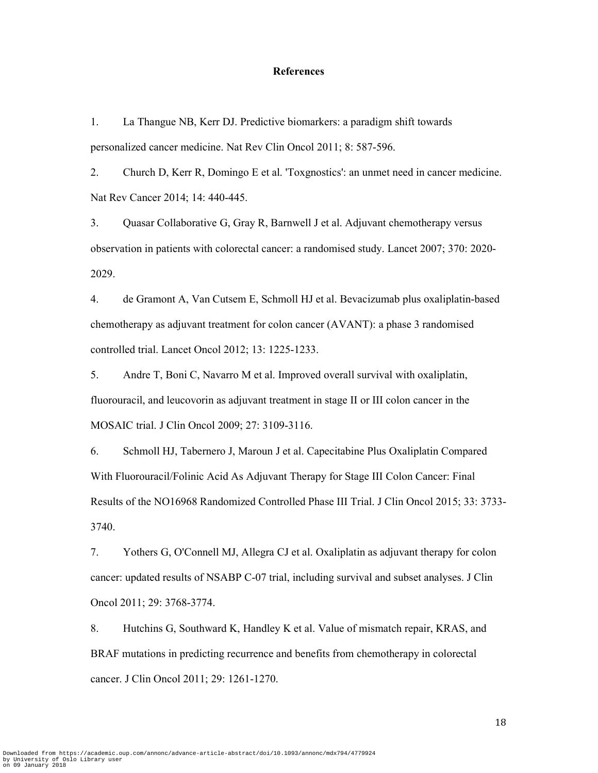#### **References**

1. La Thangue NB, Kerr DJ. Predictive biomarkers: a paradigm shift towards personalized cancer medicine. Nat Rev Clin Oncol 2011; 8: 587-596.

2. Church D, Kerr R, Domingo E et al. 'Toxgnostics': an unmet need in cancer medicine. Nat Rev Cancer 2014; 14: 440-445.

3. Quasar Collaborative G, Gray R, Barnwell J et al. Adjuvant chemotherapy versus observation in patients with colorectal cancer: a randomised study. Lancet 2007; 370: 2020- 2029.

4. de Gramont A, Van Cutsem E, Schmoll HJ et al. Bevacizumab plus oxaliplatin-based chemotherapy as adjuvant treatment for colon cancer (AVANT): a phase 3 randomised controlled trial. Lancet Oncol 2012; 13: 1225-1233.

5. Andre T, Boni C, Navarro M et al. Improved overall survival with oxaliplatin, fluorouracil, and leucovorin as adjuvant treatment in stage II or III colon cancer in the MOSAIC trial. J Clin Oncol 2009; 27: 3109-3116.

6. Schmoll HJ, Tabernero J, Maroun J et al. Capecitabine Plus Oxaliplatin Compared With Fluorouracil/Folinic Acid As Adjuvant Therapy for Stage III Colon Cancer: Final Results of the NO16968 Randomized Controlled Phase III Trial. J Clin Oncol 2015; 33: 3733- 3740.

7. Yothers G, O'Connell MJ, Allegra CJ et al. Oxaliplatin as adjuvant therapy for colon cancer: updated results of NSABP C-07 trial, including survival and subset analyses. J Clin Oncol 2011; 29: 3768-3774.

8. Hutchins G, Southward K, Handley K et al. Value of mismatch repair, KRAS, and BRAF mutations in predicting recurrence and benefits from chemotherapy in colorectal cancer. J Clin Oncol 2011; 29: 1261-1270.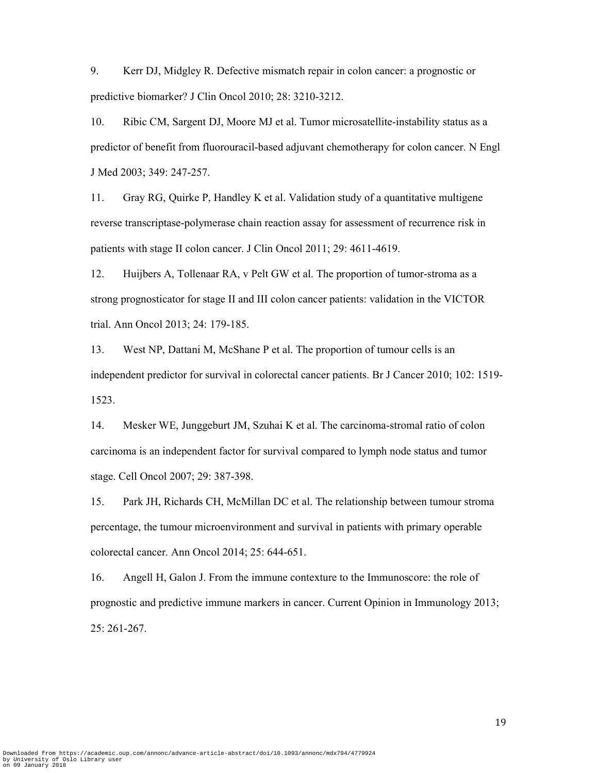9. Kerr DJ, Midgley R. Defective mismatch repair in colon cancer: a prognostic or predictive biomarker? J Clin Oncol 2010; 28: 3210-3212.

10. Ribic CM, Sargent DJ, Moore MJ et al. Tumor microsatellite-instability status as a predictor of benefit from fluorouracil-based adjuvant chemotherapy for colon cancer. N Engl J Med 2003; 349: 247-257.

11. Gray RG, Quirke P, Handley K et al. Validation study of a quantitative multigene reverse transcriptase-polymerase chain reaction assay for assessment of recurrence risk in patients with stage II colon cancer. J Clin Oncol 2011; 29: 4611-4619.

12. Huijbers A, Tollenaar RA, v Pelt GW et al. The proportion of tumor-stroma as a strong prognosticator for stage II and III colon cancer patients: validation in the VICTOR trial. Ann Oncol 2013; 24: 179-185.

13. West NP, Dattani M, McShane P et al. The proportion of tumour cells is an independent predictor for survival in colorectal cancer patients. Br J Cancer 2010; 102: 1519- 1523.

14. Mesker WE, Junggeburt JM, Szuhai K et al. The carcinoma-stromal ratio of colon carcinoma is an independent factor for survival compared to lymph node status and tumor stage. Cell Oncol 2007; 29: 387-398.

15. Park JH, Richards CH, McMillan DC et al. The relationship between tumour stroma percentage, the tumour microenvironment and survival in patients with primary operable colorectal cancer. Ann Oncol 2014; 25: 644-651.

16. Angell H, Galon J. From the immune contexture to the Immunoscore: the role of prognostic and predictive immune markers in cancer. Current Opinion in Immunology 2013; 25: 261-267.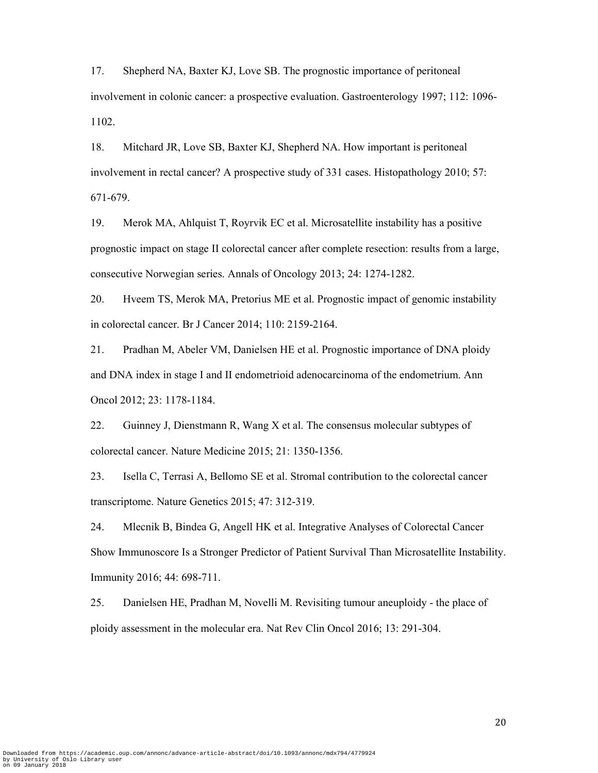17. Shepherd NA, Baxter KJ, Love SB. The prognostic importance of peritoneal involvement in colonic cancer: a prospective evaluation. Gastroenterology 1997; 112: 1096- 1102.

18. Mitchard JR, Love SB, Baxter KJ, Shepherd NA. How important is peritoneal involvement in rectal cancer? A prospective study of 331 cases. Histopathology 2010; 57: 671-679.

19. Merok MA, Ahlquist T, Royrvik EC et al. Microsatellite instability has a positive prognostic impact on stage II colorectal cancer after complete resection: results from a large, consecutive Norwegian series. Annals of Oncology 2013; 24: 1274-1282.

20. Hveem TS, Merok MA, Pretorius ME et al. Prognostic impact of genomic instability in colorectal cancer. Br J Cancer 2014; 110: 2159-2164.

21. Pradhan M, Abeler VM, Danielsen HE et al. Prognostic importance of DNA ploidy and DNA index in stage I and II endometrioid adenocarcinoma of the endometrium. Ann Oncol 2012; 23: 1178-1184.

22. Guinney J, Dienstmann R, Wang X et al. The consensus molecular subtypes of colorectal cancer. Nature Medicine 2015; 21: 1350-1356.

23. Isella C, Terrasi A, Bellomo SE et al. Stromal contribution to the colorectal cancer transcriptome. Nature Genetics 2015; 47: 312-319.

24. Mlecnik B, Bindea G, Angell HK et al. Integrative Analyses of Colorectal Cancer Show Immunoscore Is a Stronger Predictor of Patient Survival Than Microsatellite Instability. Immunity 2016; 44: 698-711.

25. Danielsen HE, Pradhan M, Novelli M. Revisiting tumour aneuploidy - the place of ploidy assessment in the molecular era. Nat Rev Clin Oncol 2016; 13: 291-304.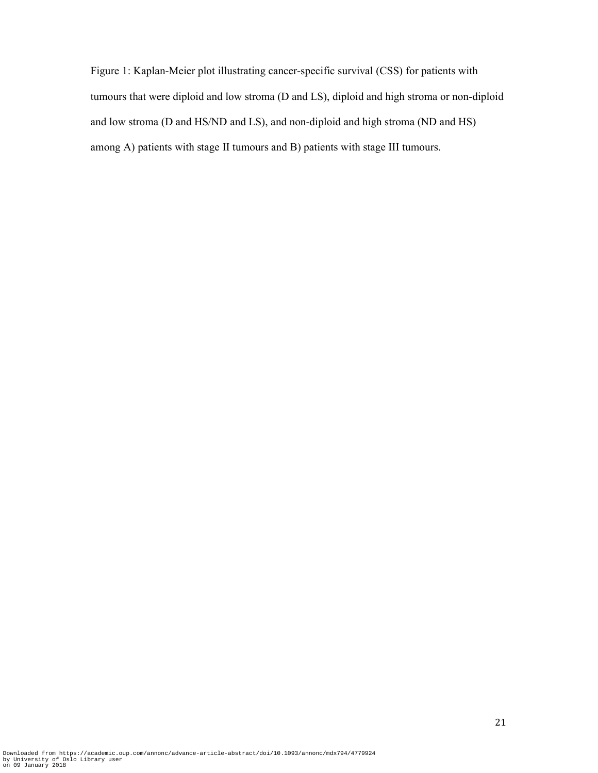Figure 1: Kaplan-Meier plot illustrating cancer-specific survival (CSS) for patients with tumours that were diploid and low stroma (D and LS), diploid and high stroma or non-diploid and low stroma (D and HS/ND and LS), and non-diploid and high stroma (ND and HS) among A) patients with stage II tumours and B) patients with stage III tumours.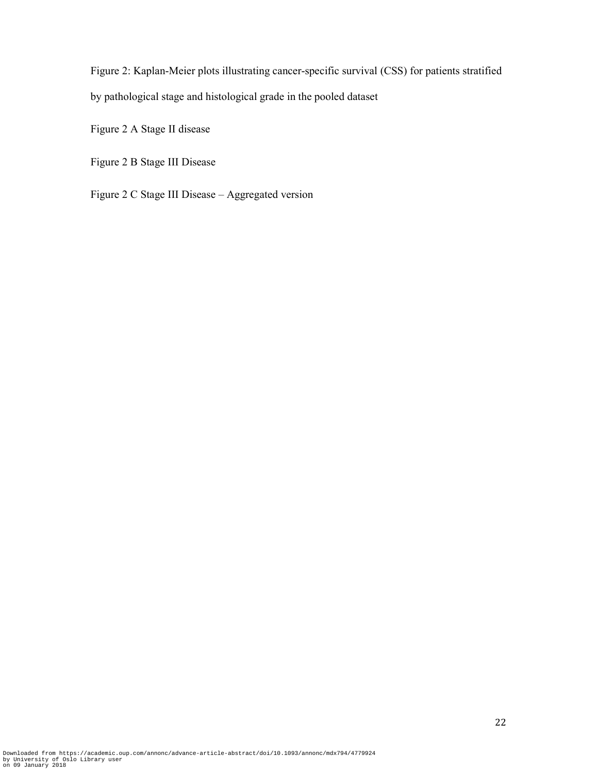Figure 2: Kaplan-Meier plots illustrating cancer-specific survival (CSS) for patients stratified by pathological stage and histological grade in the pooled dataset

Figure 2 A Stage II disease

Figure 2 B Stage III Disease

Figure 2 C Stage III Disease – Aggregated version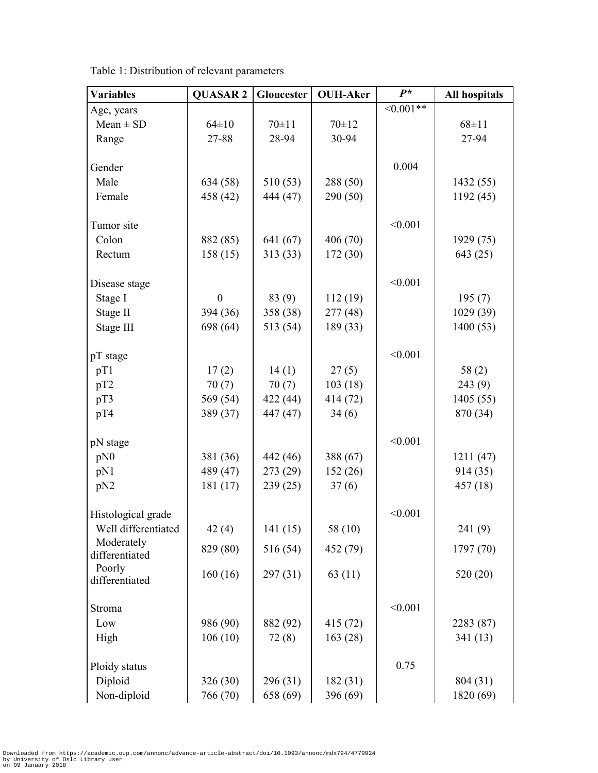| <b>Variables</b>             | <b>QUASAR 2</b> | Gloucester  | <b>OUH-Aker</b> | $P^*$      | All hospitals |
|------------------------------|-----------------|-------------|-----------------|------------|---------------|
| Age, years                   |                 |             |                 | $<0.001**$ |               |
| $Mean \pm SD$                | $64 \pm 10$     | $70 \pm 11$ | $70 \pm 12$     |            | $68 \pm 11$   |
| Range                        | 27-88           | 28-94       | 30-94           |            | 27-94         |
|                              |                 |             |                 |            |               |
| Gender                       |                 |             |                 | 0.004      |               |
| Male                         | 634 (58)        | 510(53)     | 288 (50)        |            | 1432 (55)     |
| Female                       | 458 (42)        | 444 (47)    | 290 (50)        |            | 1192(45)      |
|                              |                 |             |                 |            |               |
| Tumor site                   |                 |             |                 | < 0.001    |               |
| Colon                        | 882 (85)        | 641 (67)    | 406(70)         |            | 1929 (75)     |
| Rectum                       | 158(15)         | 313(33)     | 172(30)         |            | 643 (25)      |
| Disease stage                |                 |             |                 | < 0.001    |               |
| Stage I                      | $\mathbf{0}$    | 83 (9)      | 112(19)         |            | 195(7)        |
| Stage II                     | 394 (36)        | 358 (38)    | 277 (48)        |            | 1029 (39)     |
| Stage III                    | 698 (64)        | 513 (54)    | 189 (33)        |            | 1400(53)      |
|                              |                 |             |                 |            |               |
| pT stage                     |                 |             |                 | < 0.001    |               |
| pT1                          | 17(2)           | 14(1)       | 27(5)           |            | 58(2)         |
| pT2                          | 70(7)           | 70(7)       | 103(18)         |            | 243(9)        |
| pT3                          | 569 (54)        | 422 (44)    | 414 (72)        |            | 1405(55)      |
| pT4                          | 389 (37)        | 447 (47)    | 34(6)           |            | 870 (34)      |
| pN stage                     |                 |             |                 | < 0.001    |               |
| pN0                          | 381 (36)        | 442 (46)    | 388 (67)        |            | 1211(47)      |
| pN1                          | 489 (47)        | 273 (29)    | 152 (26)        |            | 914 (35)      |
| pN2                          | 181(17)         | 239(25)     | 37(6)           |            | 457 (18)      |
|                              |                 |             |                 |            |               |
| Histological grade           |                 |             |                 | < 0.001    |               |
| Well differentiated          | 42(4)           | 141 (15)    | 58 (10)         |            | 241(9)        |
| Moderately<br>differentiated | 829 (80)        | 516 (54)    | 452 (79)        |            | 1797 (70)     |
| Poorly                       |                 |             |                 |            |               |
| differentiated               | 160(16)         | 297(31)     | 63(11)          |            | 520 (20)      |
|                              |                 |             |                 |            |               |
| Stroma                       |                 |             |                 | < 0.001    |               |
| Low                          | 986 (90)        | 882 (92)    | 415 (72)        |            | 2283 (87)     |
| High                         | 106(10)         | 72(8)       | 163(28)         |            | 341(13)       |
| Ploidy status                |                 |             |                 | 0.75       |               |
| Diploid                      | 326(30)         | 296 (31)    | 182(31)         |            | 804 (31)      |
| Non-diploid                  | 766 (70)        | 658 (69)    | 396 (69)        |            | 1820 (69)     |

Table 1: Distribution of relevant parameters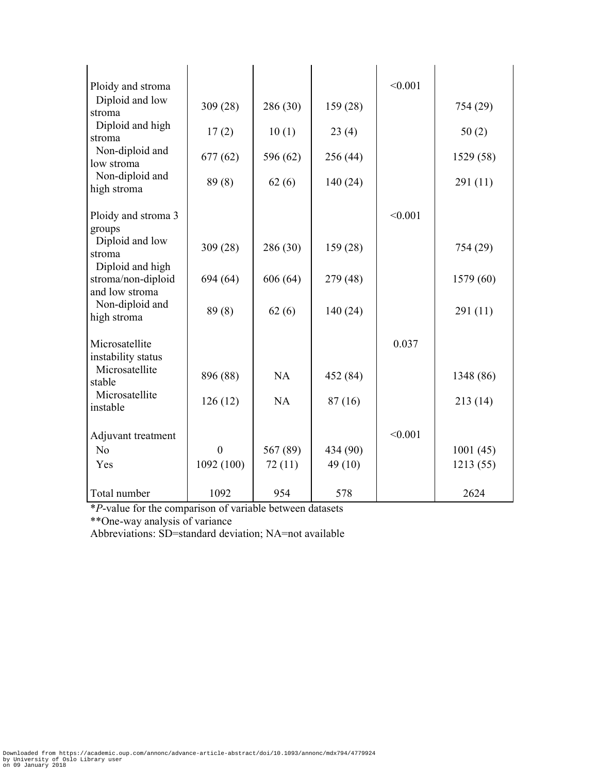| Ploidy and stroma                                        |              |          |          | < 0.001 |           |
|----------------------------------------------------------|--------------|----------|----------|---------|-----------|
| Diploid and low<br>stroma                                | 309(28)      | 286 (30) | 159(28)  |         | 754 (29)  |
| Diploid and high<br>stroma                               | 17(2)        | 10(1)    | 23(4)    |         | 50(2)     |
| Non-diploid and<br>low stroma                            | 677(62)      | 596 (62) | 256 (44) |         | 1529 (58) |
| Non-diploid and<br>high stroma                           | 89(8)        | 62(6)    | 140 (24) |         | 291(11)   |
| Ploidy and stroma 3<br>groups                            |              |          |          | < 0.001 |           |
| Diploid and low<br>stroma                                | 309(28)      | 286 (30) | 159 (28) |         | 754 (29)  |
| Diploid and high<br>stroma/non-diploid<br>and low stroma | 694 (64)     | 606 (64) | 279 (48) |         | 1579 (60) |
| Non-diploid and<br>high stroma                           | 89(8)        | 62(6)    | 140(24)  |         | 291(11)   |
| Microsatellite<br>instability status                     |              |          |          | 0.037   |           |
| Microsatellite<br>stable                                 | 896 (88)     | NA       | 452 (84) |         | 1348 (86) |
| Microsatellite<br>instable                               | 126(12)      | NA       | 87(16)   |         | 213(14)   |
| Adjuvant treatment                                       |              |          |          | < 0.001 |           |
| N <sub>o</sub>                                           | $\mathbf{0}$ | 567 (89) | 434 (90) |         | 1001(45)  |
| Yes                                                      | 1092(100)    | 72(11)   | 49 (10)  |         | 1213(55)  |
| Total number                                             | 1092         | 954      | 578      |         | 2624      |

\**P*-value for the comparison of variable between datasets \*\*One-way analysis of variance

Abbreviations: SD=standard deviation; NA=not available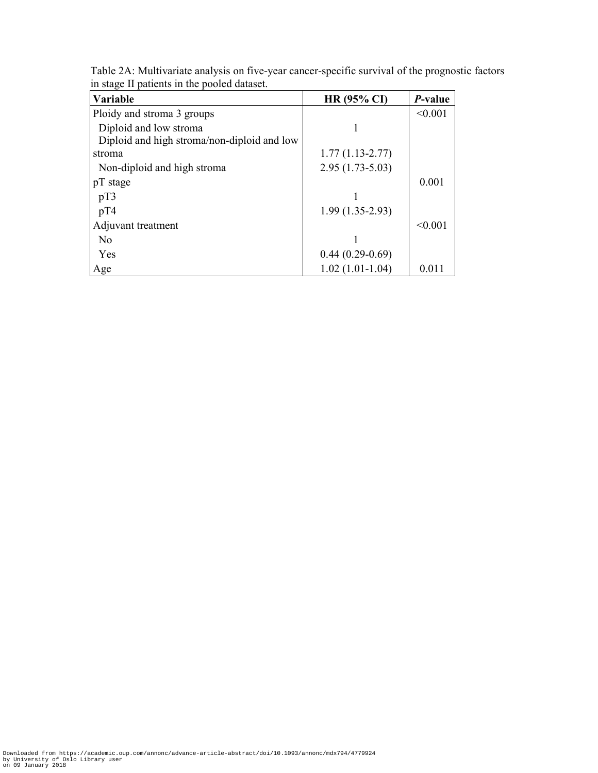| Variable                                    | <b>HR (95% CI)</b>  | P-value |
|---------------------------------------------|---------------------|---------|
| Ploidy and stroma 3 groups                  |                     | < 0.001 |
| Diploid and low stroma                      |                     |         |
| Diploid and high stroma/non-diploid and low |                     |         |
| stroma                                      | $1.77(1.13 - 2.77)$ |         |
| Non-diploid and high stroma                 | $2.95(1.73-5.03)$   |         |
| pT stage                                    |                     | 0.001   |
| pT3                                         |                     |         |
| pT4                                         | $1.99(1.35-2.93)$   |         |
| Adjuvant treatment                          |                     | < 0.001 |
| N <sub>0</sub>                              |                     |         |
| Yes                                         | $0.44(0.29-0.69)$   |         |
| Age                                         | $1.02(1.01-1.04)$   | 0.011   |

Table 2A: Multivariate analysis on five-year cancer-specific survival of the prognostic factors in stage II patients in the pooled dataset.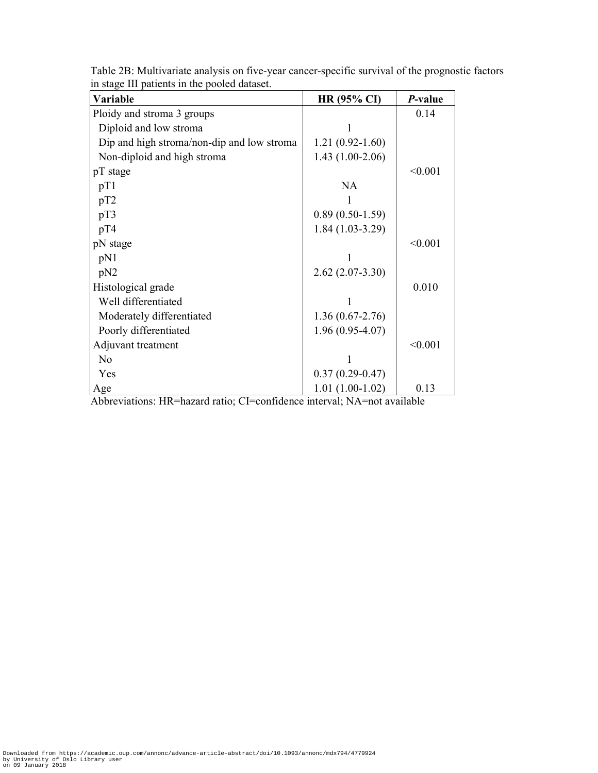| Variable                                                                                                       | HR (95% CI)         | P-value |
|----------------------------------------------------------------------------------------------------------------|---------------------|---------|
| Ploidy and stroma 3 groups                                                                                     |                     | 0.14    |
| Diploid and low stroma                                                                                         |                     |         |
| Dip and high stroma/non-dip and low stroma                                                                     | $1.21(0.92 - 1.60)$ |         |
| Non-diploid and high stroma                                                                                    | $1.43(1.00-2.06)$   |         |
| pT stage                                                                                                       |                     | < 0.001 |
| pT1                                                                                                            | <b>NA</b>           |         |
| pT2                                                                                                            |                     |         |
| pT3                                                                                                            | $0.89(0.50-1.59)$   |         |
| pT4                                                                                                            | $1.84(1.03-3.29)$   |         |
| pN stage                                                                                                       |                     | < 0.001 |
| pN1                                                                                                            |                     |         |
| pN2                                                                                                            | $2.62(2.07-3.30)$   |         |
| Histological grade                                                                                             |                     | 0.010   |
| Well differentiated                                                                                            |                     |         |
| Moderately differentiated                                                                                      | $1.36(0.67 - 2.76)$ |         |
| Poorly differentiated                                                                                          | $1.96(0.95-4.07)$   |         |
| Adjuvant treatment                                                                                             |                     | < 0.001 |
| N <sub>0</sub>                                                                                                 |                     |         |
| Yes                                                                                                            | $0.37(0.29 - 0.47)$ |         |
| Age<br>$\Lambda$ blogariational UD-becaud vation $CI$ =confidence interval. $\Lambda$ $\Lambda$ =net evailable | $1.01(1.00-1.02)$   | 0.13    |

Table 2B: Multivariate analysis on five-year cancer-specific survival of the prognostic factors in stage III patients in the pooled dataset.

Abbreviations: HR=hazard ratio; CI=confidence interval; NA=not available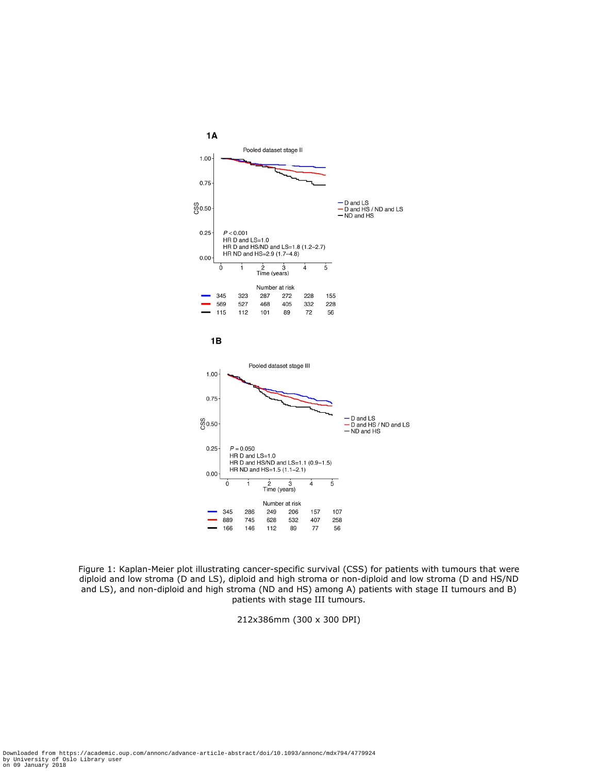

Figure 1: Kaplan-Meier plot illustrating cancer-specific survival (CSS) for patients with tumours that were diploid and low stroma (D and LS), diploid and high stroma or non-diploid and low stroma (D and HS/ND and LS), and non-diploid and high stroma (ND and HS) among A) patients with stage II tumours and B) patients with stage III tumours.

212x386mm (300 x 300 DPI)